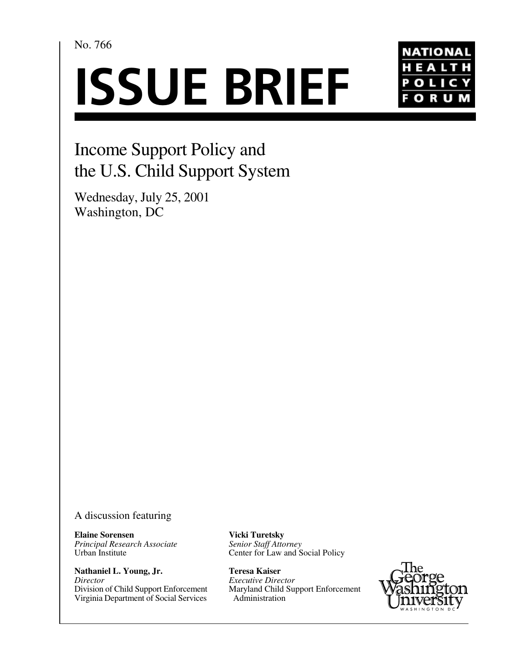No. 766

# **ISSUE BRIEF**



## Income Support Policy and the U.S. Child Support System

Wednesday, July 25, 2001 Washington, DC

#### A discussion featuring

**Elaine Sorensen** *Principal Research Associate* Urban Institute

**Nathaniel L. Young, Jr.** *Director*  Division of Child Support Enforcement Virginia Department of Social Services **Vicki Turetsky** *Senior Staff Attorney*  Center for Law and Social Policy

**Teresa Kaiser** *Executive Director* Maryland Child Support Enforcement Administration

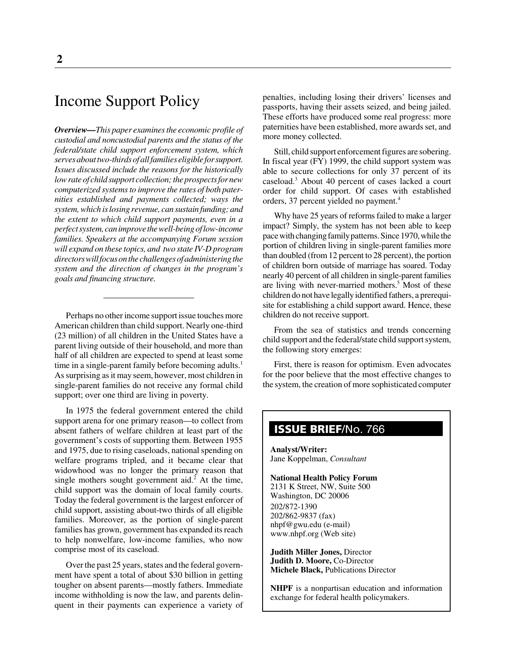### Income Support Policy

*Overview—This paper examines the economic profile of custodial and noncustodial parents and the status of the federal/state child support enforcement system, which serves about two-thirds of all families eligible for support. Issues discussed include the reasons for the historically low rate of child support collection; the prospects for new computerized systems to improve the rates of both paternities established and payments collected; ways the system, which is losing revenue, can sustain funding; and the extent to which child support payments, even in a perfect system, can improve the well-being of low-income families. Speakers at the accompanying Forum session will expand on these topics, and two state IV-D program directors will focus on the challenges of administering the system and the direction of changes in the program's goals and financing structure.*

Perhaps no other income support issue touches more American children than child support. Nearly one-third (23 million) of all children in the United States have a parent living outside of their household, and more than half of all children are expected to spend at least some time in a single-parent family before becoming adults.<sup>1</sup> As surprising as it may seem, however, most children in single-parent families do not receive any formal child support; over one third are living in poverty.

In 1975 the federal government entered the child support arena for one primary reason—to collect from absent fathers of welfare children at least part of the government's costs of supporting them. Between 1955 and 1975, due to rising caseloads, national spending on welfare programs tripled, and it became clear that widowhood was no longer the primary reason that single mothers sought government aid. $2$  At the time, child support was the domain of local family courts. Today the federal government is the largest enforcer of child support, assisting about-two thirds of all eligible families. Moreover, as the portion of single-parent families has grown, government has expanded its reach to help nonwelfare, low-income families, who now comprise most of its caseload.

Over the past 25 years, states and the federal government have spent a total of about \$30 billion in getting tougher on absent parents—mostly fathers. Immediate income withholding is now the law, and parents delinquent in their payments can experience a variety of penalties, including losing their drivers' licenses and passports, having their assets seized, and being jailed. These efforts have produced some real progress: more paternities have been established, more awards set, and more money collected.

Still, child support enforcement figures are sobering. In fiscal year (FY) 1999, the child support system was able to secure collections for only 37 percent of its caseload.3 About 40 percent of cases lacked a court order for child support. Of cases with established orders, 37 percent yielded no payment.<sup>4</sup>

Why have 25 years of reforms failed to make a larger impact? Simply, the system has not been able to keep pace with changing family patterns. Since 1970, while the portion of children living in single-parent families more than doubled (from 12 percent to 28 percent), the portion of children born outside of marriage has soared. Today nearly 40 percent of all children in single-parent families are living with never-married mothers.<sup>5</sup> Most of these children do not have legally identified fathers, a prerequisite for establishing a child support award. Hence, these children do not receive support.

From the sea of statistics and trends concerning child support and the federal/state child support system, the following story emerges:

First, there is reason for optimism. Even advocates for the poor believe that the most effective changes to the system, the creation of more sophisticated computer

#### **ISSUE BRIEF**/No. 766

**Analyst/Writer:** Jane Koppelman, *Consultant*

**National Health Policy Forum** 2131 K Street, NW, Suite 500 Washington, DC 20006 202/872-1390 202/862-9837 (fax)

nhpf@gwu.edu (e-mail) www.nhpf.org (Web site)

**Judith Miller Jones,** Director **Judith D. Moore,** Co-Director **Michele Black,** Publications Director

**NHPF** is a nonpartisan education and information exchange for federal health policymakers.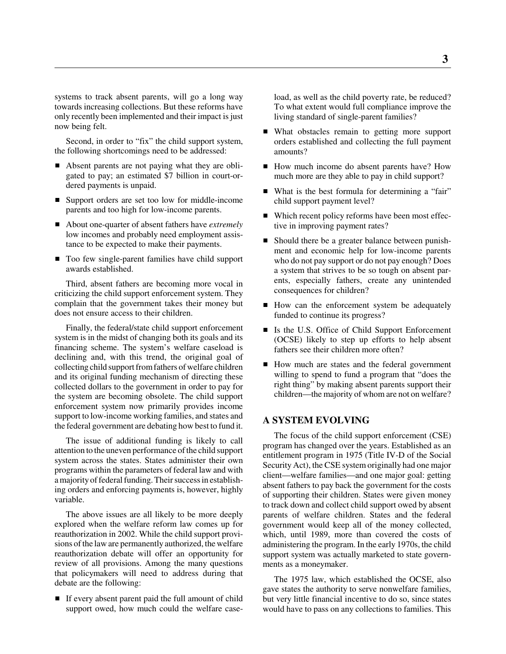systems to track absent parents, will go a long way towards increasing collections. But these reforms have only recently been implemented and their impact is just now being felt.

Second, in order to "fix" the child support system, the following shortcomings need to be addressed:

- Absent parents are not paying what they are obligated to pay; an estimated \$7 billion in court-ordered payments is unpaid.
- Support orders are set too low for middle-income parents and too high for low-income parents.
- About one-quarter of absent fathers have *extremely* low incomes and probably need employment assistance to be expected to make their payments.
- Too few single-parent families have child support awards established.

Third, absent fathers are becoming more vocal in criticizing the child support enforcement system. They complain that the government takes their money but does not ensure access to their children.

Finally, the federal/state child support enforcement system is in the midst of changing both its goals and its financing scheme. The system's welfare caseload is declining and, with this trend, the original goal of collecting child support from fathers of welfare children and its original funding mechanism of directing these collected dollars to the government in order to pay for the system are becoming obsolete. The child support enforcement system now primarily provides income support to low-income working families, and states and the federal government are debating how best to fund it.

The issue of additional funding is likely to call attention to the uneven performance of the child support system across the states. States administer their own programs within the parameters of federal law and with a majority of federal funding. Their success in establishing orders and enforcing payments is, however, highly variable.

The above issues are all likely to be more deeply explored when the welfare reform law comes up for reauthorization in 2002. While the child support provisions of the law are permanently authorized, the welfare reauthorization debate will offer an opportunity for review of all provisions. Among the many questions that policymakers will need to address during that debate are the following:

If every absent parent paid the full amount of child support owed, how much could the welfare caseload, as well as the child poverty rate, be reduced? To what extent would full compliance improve the living standard of single-parent families?

- What obstacles remain to getting more support orders established and collecting the full payment amounts?
- How much income do absent parents have? How much more are they able to pay in child support?
- What is the best formula for determining a "fair" child support payment level?
- Which recent policy reforms have been most effective in improving payment rates?
- Should there be a greater balance between punishment and economic help for low-income parents who do not pay support or do not pay enough? Does a system that strives to be so tough on absent parents, especially fathers, create any unintended consequences for children?
- How can the enforcement system be adequately funded to continue its progress?
- In Is the U.S. Office of Child Support Enforcement (OCSE) likely to step up efforts to help absent fathers see their children more often?
- How much are states and the federal government willing to spend to fund a program that "does the right thing" by making absent parents support their children—the majority of whom are not on welfare?

#### **A SYSTEM EVOLVING**

The focus of the child support enforcement (CSE) program has changed over the years. Established as an entitlement program in 1975 (Title IV-D of the Social Security Act), the CSE system originally had one major client—welfare families—and one major goal: getting absent fathers to pay back the government for the costs of supporting their children. States were given money to track down and collect child support owed by absent parents of welfare children. States and the federal government would keep all of the money collected, which, until 1989, more than covered the costs of administering the program. In the early 1970s, the child support system was actually marketed to state governments as a moneymaker.

The 1975 law, which established the OCSE, also gave states the authority to serve nonwelfare families, but very little financial incentive to do so, since states would have to pass on any collections to families. This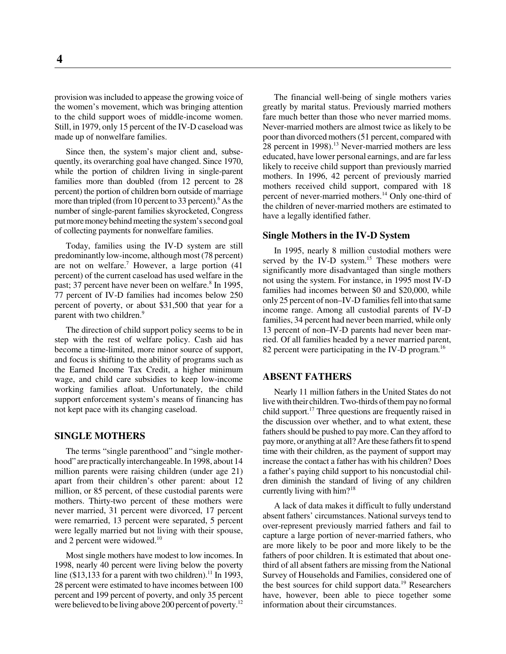provision was included to appease the growing voice of the women's movement, which was bringing attention to the child support woes of middle-income women. Still, in 1979, only 15 percent of the IV-D caseload was made up of nonwelfare families.

Since then, the system's major client and, subsequently, its overarching goal have changed. Since 1970, while the portion of children living in single-parent families more than doubled (from 12 percent to 28 percent) the portion of children born outside of marriage more than tripled (from 10 percent to 33 percent).<sup>6</sup> As the number of single-parent families skyrocketed, Congress put more money behind meeting the system's second goal of collecting payments for nonwelfare families.

Today, families using the IV-D system are still predominantly low-income, although most (78 percent) are not on welfare.<sup>7</sup> However, a large portion  $(41)$ percent) of the current caseload has used welfare in the past; 37 percent have never been on welfare.<sup>8</sup> In 1995, 77 percent of IV-D families had incomes below 250 percent of poverty, or about \$31,500 that year for a parent with two children.<sup>9</sup>

The direction of child support policy seems to be in step with the rest of welfare policy. Cash aid has become a time-limited, more minor source of support, and focus is shifting to the ability of programs such as the Earned Income Tax Credit, a higher minimum wage, and child care subsidies to keep low-income working families afloat. Unfortunately, the child support enforcement system's means of financing has not kept pace with its changing caseload.

#### **SINGLE MOTHERS**

The terms "single parenthood" and "single motherhood" are practically interchangeable. In 1998, about 14 million parents were raising children (under age 21) apart from their children's other parent: about 12 million, or 85 percent, of these custodial parents were mothers. Thirty-two percent of these mothers were never married, 31 percent were divorced, 17 percent were remarried, 13 percent were separated, 5 percent were legally married but not living with their spouse, and 2 percent were widowed.<sup>10</sup>

Most single mothers have modest to low incomes. In 1998, nearly 40 percent were living below the poverty line (\$13,133 for a parent with two children).<sup>11</sup> In 1993, 28 percent were estimated to have incomes between 100 percent and 199 percent of poverty, and only 35 percent were believed to be living above 200 percent of poverty.<sup>12</sup>

The financial well-being of single mothers varies greatly by marital status. Previously married mothers fare much better than those who never married moms. Never-married mothers are almost twice as likely to be poor than divorced mothers (51 percent, compared with 28 percent in  $1998$ ).<sup>13</sup> Never-married mothers are less educated, have lower personal earnings, and are far less likely to receive child support than previously married mothers. In 1996, 42 percent of previously married mothers received child support, compared with 18 percent of never-married mothers.<sup>14</sup> Only one-third of the children of never-married mothers are estimated to have a legally identified father.

#### **Single Mothers in the IV-D System**

In 1995, nearly 8 million custodial mothers were served by the IV-D system.<sup>15</sup> These mothers were significantly more disadvantaged than single mothers not using the system. For instance, in 1995 most IV-D families had incomes between \$0 and \$20,000, while only 25 percent of non–IV-D families fell into that same income range. Among all custodial parents of IV-D families, 34 percent had never been married, while only 13 percent of non–IV-D parents had never been married. Of all families headed by a never married parent, 82 percent were participating in the IV-D program.<sup>16</sup>

#### **ABSENT FATHERS**

Nearly 11 million fathers in the United States do not live with their children. Two-thirds of them pay no formal child support.<sup>17</sup> Three questions are frequently raised in the discussion over whether, and to what extent, these fathers should be pushed to pay more. Can they afford to pay more, or anything at all? Are these fathers fit to spend time with their children, as the payment of support may increase the contact a father has with his children? Does a father's paying child support to his noncustodial children diminish the standard of living of any children currently living with him? $18$ 

A lack of data makes it difficult to fully understand absent fathers' circumstances. National surveys tend to over-represent previously married fathers and fail to capture a large portion of never-married fathers, who are more likely to be poor and more likely to be the fathers of poor children. It is estimated that about onethird of all absent fathers are missing from the National Survey of Households and Families, considered one of the best sources for child support data.<sup>19</sup> Researchers have, however, been able to piece together some information about their circumstances.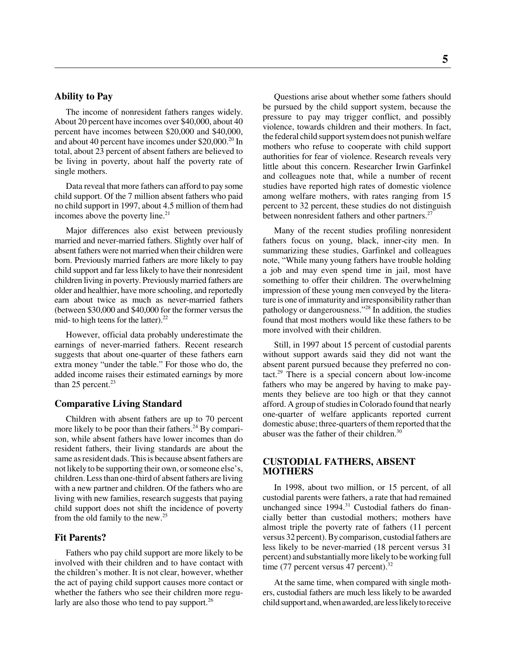#### **Ability to Pay**

The income of nonresident fathers ranges widely. About 20 percent have incomes over \$40,000, about 40 percent have incomes between \$20,000 and \$40,000, and about 40 percent have incomes under \$20,000.<sup>20</sup> In total, about 23 percent of absent fathers are believed to be living in poverty, about half the poverty rate of single mothers.

Data reveal that more fathers can afford to pay some child support. Of the 7 million absent fathers who paid no child support in 1997, about 4.5 million of them had incomes above the poverty line. $2<sup>1</sup>$ 

Major differences also exist between previously married and never-married fathers. Slightly over half of absent fathers were not married when their children were born. Previously married fathers are more likely to pay child support and far less likely to have their nonresident children living in poverty. Previously married fathers are older and healthier, have more schooling, and reportedly earn about twice as much as never-married fathers (between \$30,000 and \$40,000 for the former versus the mid- to high teens for the latter). $^{22}$ 

However, official data probably underestimate the earnings of never-married fathers. Recent research suggests that about one-quarter of these fathers earn extra money "under the table." For those who do, the added income raises their estimated earnings by more than 25 percent. $23$ 

#### **Comparative Living Standard**

Children with absent fathers are up to 70 percent more likely to be poor than their fathers.<sup>24</sup> By comparison, while absent fathers have lower incomes than do resident fathers, their living standards are about the same as resident dads. This is because absent fathers are not likely to be supporting their own, or someone else's, children. Less than one-third of absent fathers are living with a new partner and children. Of the fathers who are living with new families, research suggests that paying child support does not shift the incidence of poverty from the old family to the new.25

#### **Fit Parents?**

Fathers who pay child support are more likely to be involved with their children and to have contact with the children's mother. It is not clear, however, whether the act of paying child support causes more contact or whether the fathers who see their children more regularly are also those who tend to pay support.<sup>26</sup>

Questions arise about whether some fathers should be pursued by the child support system, because the pressure to pay may trigger conflict, and possibly violence, towards children and their mothers. In fact, the federal child support system does not punish welfare mothers who refuse to cooperate with child support authorities for fear of violence. Research reveals very little about this concern. Researcher Irwin Garfinkel and colleagues note that, while a number of recent studies have reported high rates of domestic violence among welfare mothers, with rates ranging from 15 percent to 32 percent, these studies do not distinguish between nonresident fathers and other partners.<sup>27</sup>

Many of the recent studies profiling nonresident fathers focus on young, black, inner-city men. In summarizing these studies, Garfinkel and colleagues note, "While many young fathers have trouble holding a job and may even spend time in jail, most have something to offer their children. The overwhelming impression of these young men conveyed by the literature is one of immaturity and irresponsibility rather than pathology or dangerousness."28 In addition, the studies found that most mothers would like these fathers to be more involved with their children.

Still, in 1997 about 15 percent of custodial parents without support awards said they did not want the absent parent pursued because they preferred no contact.<sup>29</sup> There is a special concern about low-income fathers who may be angered by having to make payments they believe are too high or that they cannot afford. A group of studies in Colorado found that nearly one-quarter of welfare applicants reported current domestic abuse; three-quarters of them reported that the abuser was the father of their children.<sup>30</sup>

#### **CUSTODIAL FATHERS, ABSENT MOTHERS**

In 1998, about two million, or 15 percent, of all custodial parents were fathers, a rate that had remained unchanged since 1994.<sup>31</sup> Custodial fathers do financially better than custodial mothers; mothers have almost triple the poverty rate of fathers (11 percent versus 32 percent). By comparison, custodial fathers are less likely to be never-married (18 percent versus 31 percent) and substantially more likely to be working full time (77 percent versus 47 percent).<sup>32</sup>

At the same time, when compared with single mothers, custodial fathers are much less likely to be awarded child support and, when awarded, are less likely to receive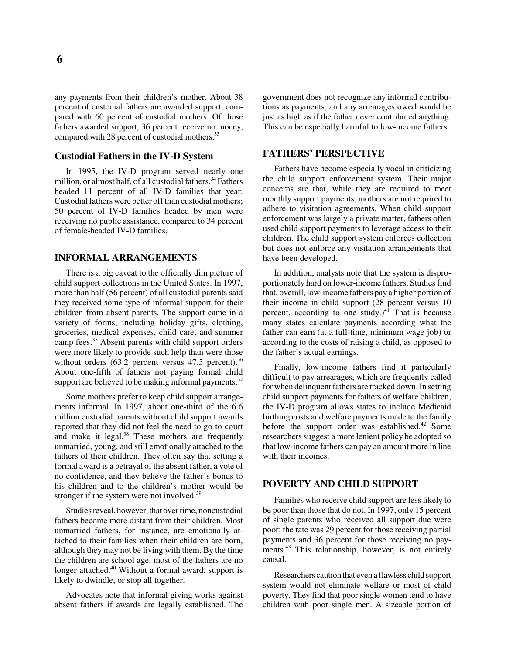any payments from their children's mother. About 38 percent of custodial fathers are awarded support, compared with 60 percent of custodial mothers. Of those fathers awarded support, 36 percent receive no money, compared with 28 percent of custodial mothers.<sup>33</sup>

#### **Custodial Fathers in the IV-D System**

In 1995, the IV-D program served nearly one million, or almost half, of all custodial fathers.<sup>34</sup> Fathers headed 11 percent of all IV-D families that year. Custodial fathers were better off than custodial mothers; 50 percent of IV-D families headed by men were receiving no public assistance, compared to 34 percent of female-headed IV-D families.

#### **INFORMAL ARRANGEMENTS**

There is a big caveat to the officially dim picture of child support collections in the United States. In 1997, more than half (56 percent) of all custodial parents said they received some type of informal support for their children from absent parents. The support came in a variety of forms, including holiday gifts, clothing, groceries, medical expenses, child care, and summer camp fees.<sup>35</sup> Absent parents with child support orders were more likely to provide such help than were those without orders  $(63.2 \text{ percent} \text{ versus } 47.5 \text{ percent})$ .<sup>36</sup> About one-fifth of fathers not paying formal child support are believed to be making informal payments. $37$ 

Some mothers prefer to keep child support arrangements informal. In 1997, about one-third of the 6.6 million custodial parents without child support awards reported that they did not feel the need to go to court and make it legal. $38$  These mothers are frequently unmarried, young, and still emotionally attached to the fathers of their children. They often say that setting a formal award is a betrayal of the absent father, a vote of no confidence, and they believe the father's bonds to his children and to the children's mother would be stronger if the system were not involved.<sup>39</sup>

Studies reveal, however, that over time, noncustodial fathers become more distant from their children. Most unmarried fathers, for instance, are emotionally attached to their families when their children are born, although they may not be living with them. By the time the children are school age, most of the fathers are no longer attached.<sup>40</sup> Without a formal award, support is likely to dwindle, or stop all together.

Advocates note that informal giving works against absent fathers if awards are legally established. The

government does not recognize any informal contributions as payments, and any arrearages owed would be just as high as if the father never contributed anything. This can be especially harmful to low-income fathers.

#### **FATHERS' PERSPECTIVE**

Fathers have become especially vocal in criticizing the child support enforcement system. Their major concerns are that, while they are required to meet monthly support payments, mothers are not required to adhere to visitation agreements. When child support enforcement was largely a private matter, fathers often used child support payments to leverage access to their children. The child support system enforces collection but does not enforce any visitation arrangements that have been developed.

In addition, analysts note that the system is disproportionately hard on lower-income fathers. Studies find that, overall, low-income fathers pay a higher portion of their income in child support (28 percent versus 10 percent, according to one study.)<sup>41</sup> That is because many states calculate payments according what the father can earn (at a full-time, minimum wage job) or according to the costs of raising a child, as opposed to the father's actual earnings.

Finally, low-income fathers find it particularly difficult to pay arrearages, which are frequently called for when delinquent fathers are tracked down. In setting child support payments for fathers of welfare children, the IV-D program allows states to include Medicaid birthing costs and welfare payments made to the family before the support order was established.<sup>42</sup> Some researchers suggest a more lenient policy be adopted so that low-income fathers can pay an amount more in line with their incomes.

#### **POVERTY AND CHILD SUPPORT**

Families who receive child support are less likely to be poor than those that do not. In 1997, only 15 percent of single parents who received all support due were poor; the rate was 29 percent for those receiving partial payments and 36 percent for those receiving no payments.<sup>43</sup> This relationship, however, is not entirely causal.

Researchers caution that even a flawless child support system would not eliminate welfare or most of child poverty. They find that poor single women tend to have children with poor single men. A sizeable portion of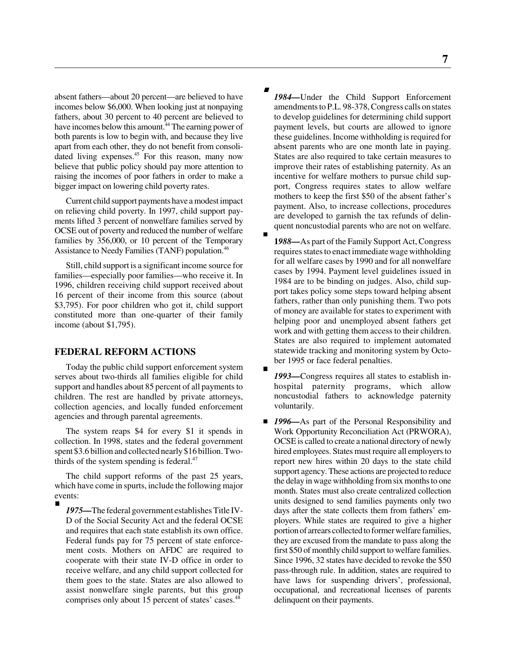absent fathers—about 20 percent—are believed to have incomes below \$6,000. When looking just at nonpaying fathers, about 30 percent to 40 percent are believed to have incomes below this amount.<sup>44</sup> The earning power of both parents is low to begin with, and because they live apart from each other, they do not benefit from consolidated living expenses.<sup>45</sup> For this reason, many now believe that public policy should pay more attention to raising the incomes of poor fathers in order to make a bigger impact on lowering child poverty rates.

Current child support payments have a modest impact on relieving child poverty. In 1997, child support payments lifted 3 percent of nonwelfare families served by OCSE out of poverty and reduced the number of welfare families by 356,000, or 10 percent of the Temporary Assistance to Needy Families (TANF) population.<sup>46</sup>

Still, child support is a significant income source for families—especially poor families—who receive it. In 1996, children receiving child support received about 16 percent of their income from this source (about \$3,795). For poor children who got it, child support constituted more than one-quarter of their family income (about \$1,795).

#### **FEDERAL REFORM ACTIONS**

Today the public child support enforcement system serves about two-thirds all families eligible for child support and handles about 85 percent of all payments to children. The rest are handled by private attorneys, collection agencies, and locally funded enforcement agencies and through parental agreements.

The system reaps \$4 for every \$1 it spends in collection. In 1998, states and the federal government spent \$3.6 billion and collected nearly \$16 billion. Twothirds of the system spending is federal. $47$ 

The child support reforms of the past 25 years, which have come in spurts, include the following major events:

■ 1975—The federal government establishes Title IV-D of the Social Security Act and the federal OCSE and requires that each state establish its own office. Federal funds pay for 75 percent of state enforcement costs. Mothers on AFDC are required to cooperate with their state IV-D office in order to receive welfare, and any child support collected for them goes to the state. States are also allowed to assist nonwelfare single parents, but this group comprises only about 15 percent of states' cases.<sup>48</sup>

- 1984—Under the Child Support Enforcement amendments to P.L. 98-378, Congress calls on states to develop guidelines for determining child support payment levels, but courts are allowed to ignore these guidelines. Income withholding is required for absent parents who are one month late in paying. States are also required to take certain measures to improve their rates of establishing paternity. As an incentive for welfare mothers to pursue child support, Congress requires states to allow welfare mothers to keep the first \$50 of the absent father's payment. Also, to increase collections, procedures are developed to garnish the tax refunds of delinquent noncustodial parents who are not on welfare.
- **1***988—*As part of the Family Support Act, Congress requires states to enact immediate wage withholding for all welfare cases by 1990 and for all nonwelfare cases by 1994. Payment level guidelines issued in 1984 are to be binding on judges. Also, child support takes policy some steps toward helping absent fathers, rather than only punishing them. Two pots of money are available for states to experiment with helping poor and unemployed absent fathers get work and with getting them access to their children. States are also required to implement automated statewide tracking and monitoring system by October 1995 or face federal penalties.
- 1993—Congress requires all states to establish inhospital paternity programs, which allow noncustodial fathers to acknowledge paternity voluntarily.
- 1996—As part of the Personal Responsibility and Work Opportunity Reconciliation Act (PRWORA), OCSE is called to create a national directory of newly hired employees. States must require all employers to report new hires within 20 days to the state child support agency. These actions are projected to reduce the delay in wage withholding from six months to one month. States must also create centralized collection units designed to send families payments only two days after the state collects them from fathers' employers. While states are required to give a higher portion of arrears collected to former welfare families, they are excused from the mandate to pass along the first \$50 of monthly child support to welfare families. Since 1996, 32 states have decided to revoke the \$50 pass-through rule. In addition, states are required to have laws for suspending drivers', professional, occupational, and recreational licenses of parents delinquent on their payments.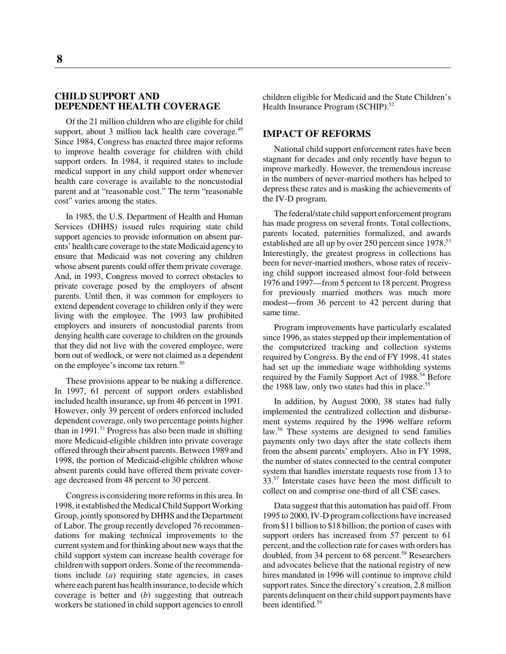**8**

#### **CHILD SUPPORT AND DEPENDENT HEALTH COVERAGE**

Of the 21 million children who are eligible for child support, about 3 million lack health care coverage. $49$ Since 1984, Congress has enacted three major reforms to improve health coverage for children with child support orders. In 1984, it required states to include medical support in any child support order whenever health care coverage is available to the noncustodial parent and at "reasonable cost." The term "reasonable cost" varies among the states.

In 1985, the U.S. Department of Health and Human Services (DHHS) issued rules requiring state child support agencies to provide information on absent parents' health care coverage to the state Medicaid agency to ensure that Medicaid was not covering any children whose absent parents could offer them private coverage. And, in 1993, Congress moved to correct obstacles to private coverage posed by the employers of absent parents. Until then, it was common for employers to extend dependent coverage to children only if they were living with the employee. The 1993 law prohibited employers and insurers of noncustodial parents from denying health care coverage to children on the grounds that they did not live with the covered employee, were born out of wedlock, or were not claimed as a dependent on the employee's income tax return.<sup>50</sup>

These provisions appear to be making a difference. In 1997, 61 percent of support orders established included health insurance, up from 46 percent in 1991. However, only 39 percent of orders enforced included dependent coverage, only two percentage points higher than in 1991.<sup>51</sup> Progress has also been made in shifting more Medicaid-eligible children into private coverage offered through their absent parents. Between 1989 and 1998, the portion of Medicaid-eligible children whose absent parents could have offered them private coverage decreased from 48 percent to 30 percent.

Congress is considering more reforms in this area. In 1998, it established the Medical Child Support Working Group, jointly sponsored by DHHS and the Department of Labor. The group recently developed 76 recommendations for making technical improvements to the current system and for thinking about new ways that the child support system can increase health coverage for children with support orders. Some of the recommendations include (*a*) requiring state agencies, in cases where each parent has health insurance, to decide which coverage is better and (*b*) suggesting that outreach workers be stationed in child support agencies to enroll

children eligible for Medicaid and the State Children's Health Insurance Program (SCHIP).<sup>52</sup>

#### **IMPACT OF REFORMS**

National child support enforcement rates have been stagnant for decades and only recently have begun to improve markedly. However, the tremendous increase in the numbers of never-married mothers has helped to depress these rates and is masking the achievements of the IV-D program.

The federal/state child support enforcement program has made progress on several fronts. Total collections, parents located, paternities formalized, and awards established are all up by over 250 percent since 1978.<sup>53</sup> Interestingly, the greatest progress in collections has been for never-married mothers, whose rates of receiving child support increased almost four-fold between 1976 and 1997—from 5 percent to 18 percent. Progress for previously married mothers was much more modest—from 36 percent to 42 percent during that same time.

Program improvements have particularly escalated since 1996, as states stepped up their implementation of the computerized tracking and collection systems required by Congress. By the end of FY 1998, 41 states had set up the immediate wage withholding systems required by the Family Support Act of 1988.<sup>54</sup> Before the 1988 law, only two states had this in place.<sup>55</sup>

In addition, by August 2000, 38 states had fully implemented the centralized collection and disbursement systems required by the 1996 welfare reform law.<sup>56</sup> These systems are designed to send families payments only two days after the state collects them from the absent parents' employers. Also in FY 1998, the number of states connected to the central computer system that handles interstate requests rose from 13 to 33.57 Interstate cases have been the most difficult to collect on and comprise one-third of all CSE cases.

Data suggest that this automation has paid off. From 1995 to 2000, IV-D program collections have increased from \$11 billion to \$18 billion; the portion of cases with support orders has increased from 57 percent to 61 percent, and the collection rate for cases with orders has doubled, from 34 percent to 68 percent.<sup>58</sup> Researchers and advocates believe that the national registry of new hires mandated in 1996 will continue to improve child support rates. Since the directory's creation, 2.8 million parents delinquent on their child support payments have been identified.<sup>59</sup>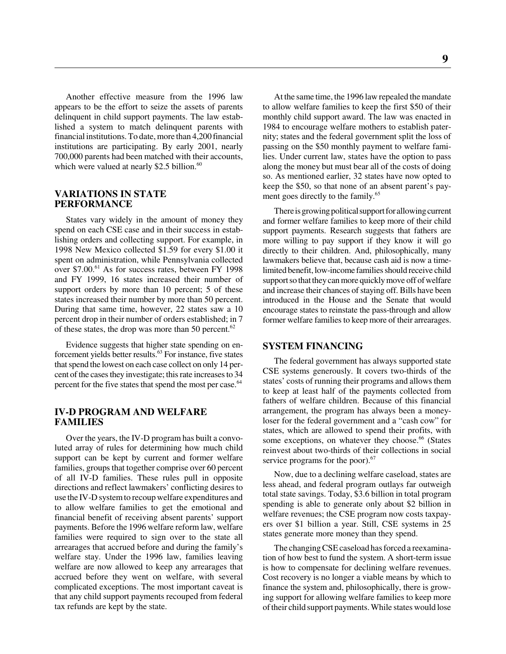Another effective measure from the 1996 law appears to be the effort to seize the assets of parents delinquent in child support payments. The law established a system to match delinquent parents with financial institutions. To date, more than 4,200 financial institutions are participating. By early 2001, nearly 700,000 parents had been matched with their accounts, which were valued at nearly \$2.5 billion. $60$ 

#### **VARIATIONS IN STATE PERFORMANCE**

States vary widely in the amount of money they spend on each CSE case and in their success in establishing orders and collecting support. For example, in 1998 New Mexico collected \$1.59 for every \$1.00 it spent on administration, while Pennsylvania collected over \$7.00.<sup>61</sup> As for success rates, between FY 1998 and FY 1999, 16 states increased their number of support orders by more than 10 percent; 5 of these states increased their number by more than 50 percent. During that same time, however, 22 states saw a 10 percent drop in their number of orders established; in 7 of these states, the drop was more than 50 percent. $62$ 

Evidence suggests that higher state spending on enforcement yields better results.63 For instance, five states that spend the lowest on each case collect on only 14 percent of the cases they investigate; this rate increases to 34 percent for the five states that spend the most per case.<sup>64</sup>

#### **IV-D PROGRAM AND WELFARE FAMILIES**

Over the years, the IV-D program has built a convoluted array of rules for determining how much child support can be kept by current and former welfare families, groups that together comprise over 60 percent of all IV-D families. These rules pull in opposite directions and reflect lawmakers' conflicting desires to use the IV-D system to recoup welfare expenditures and to allow welfare families to get the emotional and financial benefit of receiving absent parents' support payments. Before the 1996 welfare reform law, welfare families were required to sign over to the state all arrearages that accrued before and during the family's welfare stay. Under the 1996 law, families leaving welfare are now allowed to keep any arrearages that accrued before they went on welfare, with several complicated exceptions. The most important caveat is that any child support payments recouped from federal tax refunds are kept by the state.

At the same time, the 1996 law repealed the mandate to allow welfare families to keep the first \$50 of their monthly child support award. The law was enacted in 1984 to encourage welfare mothers to establish paternity; states and the federal government split the loss of passing on the \$50 monthly payment to welfare families. Under current law, states have the option to pass along the money but must bear all of the costs of doing so. As mentioned earlier, 32 states have now opted to keep the \$50, so that none of an absent parent's payment goes directly to the family.<sup>65</sup>

There is growing political support for allowing current and former welfare families to keep more of their child support payments. Research suggests that fathers are more willing to pay support if they know it will go directly to their children. And, philosophically, many lawmakers believe that, because cash aid is now a timelimited benefit, low-income families should receive child support so that they can more quickly move off of welfare and increase their chances of staying off. Bills have been introduced in the House and the Senate that would encourage states to reinstate the pass-through and allow former welfare families to keep more of their arrearages.

#### **SYSTEM FINANCING**

The federal government has always supported state CSE systems generously. It covers two-thirds of the states' costs of running their programs and allows them to keep at least half of the payments collected from fathers of welfare children. Because of this financial arrangement, the program has always been a moneyloser for the federal government and a "cash cow" for states, which are allowed to spend their profits, with some exceptions, on whatever they choose.<sup>66</sup> (States reinvest about two-thirds of their collections in social service programs for the poor).<sup>67</sup>

Now, due to a declining welfare caseload, states are less ahead, and federal program outlays far outweigh total state savings. Today, \$3.6 billion in total program spending is able to generate only about \$2 billion in welfare revenues; the CSE program now costs taxpayers over \$1 billion a year. Still, CSE systems in 25 states generate more money than they spend.

The changing CSE caseload has forced a reexamination of how best to fund the system. A short-term issue is how to compensate for declining welfare revenues. Cost recovery is no longer a viable means by which to finance the system and, philosophically, there is growing support for allowing welfare families to keep more of their child support payments. While states would lose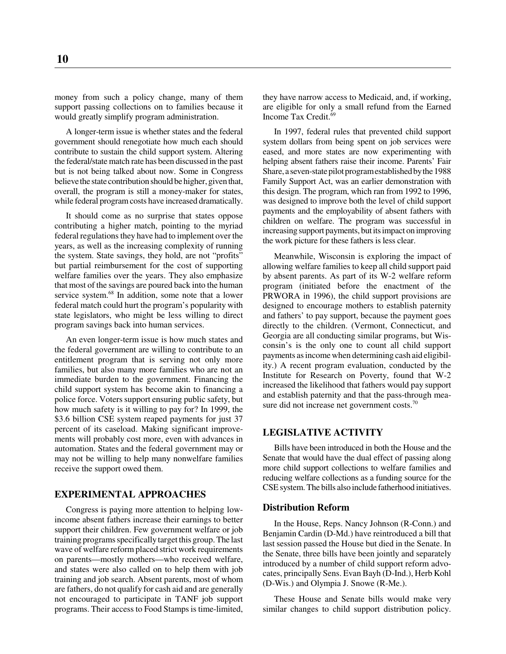money from such a policy change, many of them support passing collections on to families because it would greatly simplify program administration.

A longer-term issue is whether states and the federal government should renegotiate how much each should contribute to sustain the child support system. Altering the federal/state match rate has been discussed in the past but is not being talked about now. Some in Congress believe the state contribution should be higher, given that, overall, the program is still a money-maker for states, while federal program costs have increased dramatically.

It should come as no surprise that states oppose contributing a higher match, pointing to the myriad federal regulations they have had to implement over the years, as well as the increasing complexity of running the system. State savings, they hold, are not "profits" but partial reimbursement for the cost of supporting welfare families over the years. They also emphasize that most of the savings are poured back into the human service system.<sup>68</sup> In addition, some note that a lower federal match could hurt the program's popularity with state legislators, who might be less willing to direct program savings back into human services.

An even longer-term issue is how much states and the federal government are willing to contribute to an entitlement program that is serving not only more families, but also many more families who are not an immediate burden to the government. Financing the child support system has become akin to financing a police force. Voters support ensuring public safety, but how much safety is it willing to pay for? In 1999, the \$3.6 billion CSE system reaped payments for just 37 percent of its caseload. Making significant improvements will probably cost more, even with advances in automation. States and the federal government may or may not be willing to help many nonwelfare families receive the support owed them.

#### **EXPERIMENTAL APPROACHES**

Congress is paying more attention to helping lowincome absent fathers increase their earnings to better support their children. Few government welfare or job training programs specifically target this group. The last wave of welfare reform placed strict work requirements on parents—mostly mothers—who received welfare, and states were also called on to help them with job training and job search. Absent parents, most of whom are fathers, do not qualify for cash aid and are generally not encouraged to participate in TANF job support programs. Their access to Food Stamps is time-limited,

they have narrow access to Medicaid, and, if working, are eligible for only a small refund from the Earned Income Tax Credit.<sup>69</sup>

In 1997, federal rules that prevented child support system dollars from being spent on job services were eased, and more states are now experimenting with helping absent fathers raise their income. Parents' Fair Share, a seven-state pilot program established by the 1988 Family Support Act, was an earlier demonstration with this design. The program, which ran from 1992 to 1996, was designed to improve both the level of child support payments and the employability of absent fathers with children on welfare. The program was successful in increasing support payments, but its impact on improving the work picture for these fathers is less clear.

Meanwhile, Wisconsin is exploring the impact of allowing welfare families to keep all child support paid by absent parents. As part of its W-2 welfare reform program (initiated before the enactment of the PRWORA in 1996), the child support provisions are designed to encourage mothers to establish paternity and fathers' to pay support, because the payment goes directly to the children. (Vermont, Connecticut, and Georgia are all conducting similar programs, but Wisconsin's is the only one to count all child support payments as income when determining cash aid eligibility.) A recent program evaluation, conducted by the Institute for Research on Poverty, found that W-2 increased the likelihood that fathers would pay support and establish paternity and that the pass-through measure did not increase net government costs.<sup>70</sup>

#### **LEGISLATIVE ACTIVITY**

Bills have been introduced in both the House and the Senate that would have the dual effect of passing along more child support collections to welfare families and reducing welfare collections as a funding source for the CSE system. The bills also include fatherhood initiatives.

#### **Distribution Reform**

In the House, Reps. Nancy Johnson (R-Conn.) and Benjamin Cardin (D-Md.) have reintroduced a bill that last session passed the House but died in the Senate. In the Senate, three bills have been jointly and separately introduced by a number of child support reform advocates, principally Sens. Evan Bayh (D-Ind.), Herb Kohl (D-Wis.) and Olympia J. Snowe (R-Me.).

These House and Senate bills would make very similar changes to child support distribution policy.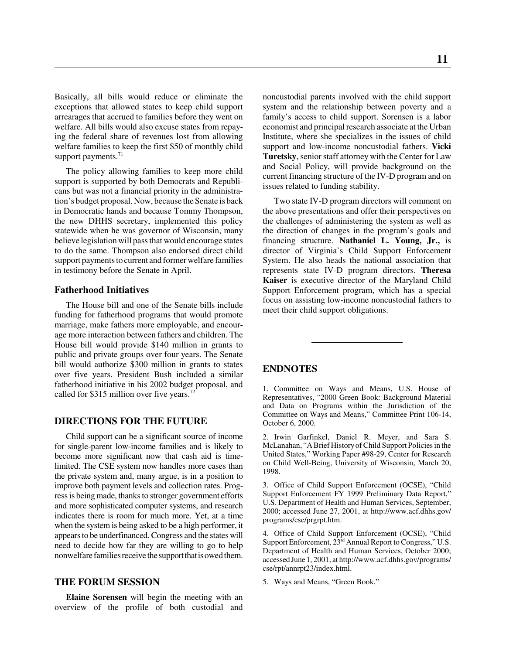Basically, all bills would reduce or eliminate the exceptions that allowed states to keep child support arrearages that accrued to families before they went on welfare. All bills would also excuse states from repaying the federal share of revenues lost from allowing welfare families to keep the first \$50 of monthly child support payments.<sup>71</sup>

The policy allowing families to keep more child support is supported by both Democrats and Republicans but was not a financial priority in the administration's budget proposal. Now, because the Senate is back in Democratic hands and because Tommy Thompson, the new DHHS secretary, implemented this policy statewide when he was governor of Wisconsin, many believe legislation will pass that would encourage states to do the same. Thompson also endorsed direct child support payments to current and former welfare families in testimony before the Senate in April.

#### **Fatherhood Initiatives**

The House bill and one of the Senate bills include funding for fatherhood programs that would promote marriage, make fathers more employable, and encourage more interaction between fathers and children. The House bill would provide \$140 million in grants to public and private groups over four years. The Senate bill would authorize \$300 million in grants to states over five years. President Bush included a similar fatherhood initiative in his 2002 budget proposal, and called for \$315 million over five years.<sup>72</sup>

#### **DIRECTIONS FOR THE FUTURE**

Child support can be a significant source of income for single-parent low-income families and is likely to become more significant now that cash aid is timelimited. The CSE system now handles more cases than the private system and, many argue, is in a position to improve both payment levels and collection rates. Progress is being made, thanks to stronger government efforts and more sophisticated computer systems, and research indicates there is room for much more. Yet, at a time when the system is being asked to be a high performer, it appears to be underfinanced. Congress and the states will need to decide how far they are willing to go to help nonwelfare families receive the support that is owed them.

#### **THE FORUM SESSION**

**Elaine Sorensen** will begin the meeting with an overview of the profile of both custodial and

noncustodial parents involved with the child support system and the relationship between poverty and a family's access to child support. Sorensen is a labor economist and principal research associate at the Urban Institute, where she specializes in the issues of child support and low-income noncustodial fathers. **Vicki Turetsky**, senior staff attorney with the Center for Law and Social Policy, will provide background on the current financing structure of the IV-D program and on issues related to funding stability.

Two state IV-D program directors will comment on the above presentations and offer their perspectives on the challenges of administering the system as well as the direction of changes in the program's goals and financing structure. **Nathaniel L. Young, Jr.,** is director of Virginia's Child Support Enforcement System. He also heads the national association that represents state IV-D program directors. **Theresa Kaiser** is executive director of the Maryland Child Support Enforcement program, which has a special focus on assisting low-income noncustodial fathers to meet their child support obligations.

#### **ENDNOTES**

1. Committee on Ways and Means, U.S. House of Representatives, "2000 Green Book: Background Material and Data on Programs within the Jurisdiction of the Committee on Ways and Means," Committee Print 106-14, October 6, 2000.

2. Irwin Garfinkel, Daniel R. Meyer, and Sara S. McLanahan, "A Brief History of Child Support Policies in the United States," Working Paper #98-29, Center for Research on Child Well-Being, University of Wisconsin, March 20, 1998.

3. Office of Child Support Enforcement (OCSE), "Child Support Enforcement FY 1999 Preliminary Data Report," U.S. Department of Health and Human Services, September, 2000; accessed June 27, 2001, at http://www.acf.dhhs.gov/ programs/cse/prgrpt.htm.

4. Office of Child Support Enforcement (OCSE), "Child Support Enforcement, 23<sup>rd</sup> Annual Report to Congress," U.S. Department of Health and Human Services, October 2000; accessed June 1, 2001, at http://www.acf.dhhs.gov/programs/ cse/rpt/annrpt23/index.html.

5. Ways and Means, "Green Book."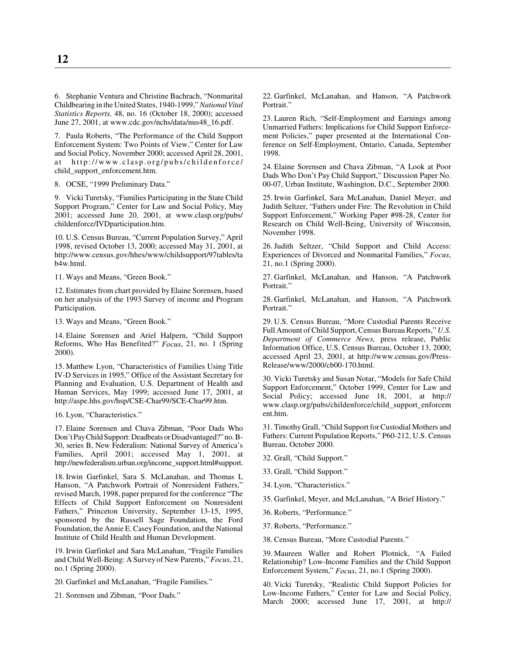6. Stephanie Ventura and Christine Bachrach, "Nonmarital Childbearing in the United States, 1940-1999," *National Vital Statistics Reports,* 48, no. 16 (October 18, 2000); accessed June 27, 2001, at www.cdc.gov/nchs/data/nus48\_16.pdf.

7. Paula Roberts, "The Performance of the Child Support Enforcement System: Two Points of View," Center for Law and Social Policy, November 2000; accessed April 28, 2001, at http://www.clasp.org/pubs/childenforce/ child\_support\_enforcement.htm.

8. OCSE, "1999 Preliminary Data."

9. Vicki Turetsky, "Families Participating in the State Child Support Program," Center for Law and Social Policy, May 2001; accessed June 20, 2001, at www.clasp.org/pubs/ childenforce/IVDparticipation.htm.

10. U.S. Census Bureau, "Current Population Survey," April 1998, revised October 13, 2000; accessed May 31, 2001, at http://www.census.gov/hhes/www/childsupport/97tables/ta b4w.html.

11. Ways and Means, "Green Book."

12. Estimates from chart provided by Elaine Sorensen, based on her analysis of the 1993 Survey of income and Program Participation.

13. Ways and Means, "Green Book."

14. Elaine Sorensen and Ariel Halpern, "Child Support Reforms, Who Has Benefited?" *Focus*, 21, no. 1 (Spring 2000).

15. Matthew Lyon, "Characteristics of Families Using Title IV-D Services in 1995," Office of the Assistant Secretary for Planning and Evaluation, U.S. Department of Health and Human Services, May 1999; accessed June 17, 2001, at http://aspe.hhs.gov/hsp/CSE-Char99/SCE-Char99.htm.

16. Lyon, "Characteristics."

17. Elaine Sorensen and Chava Zibman, "Poor Dads Who Don't Pay Child Support: Deadbeats or Disadvantaged?" no. B-30, series B, New Federalism: National Survey of America's Families, April 2001; accessed May 1, 2001, at http://newfederalism.urban.org/income\_support.html#support.

18. Irwin Garfinkel, Sara S. McLanahan, and Thomas L Hanson, "A Patchwork Portrait of Nonresident Fathers," revised March, 1998, paper prepared for the conference "The Effects of Child Support Enforcement on Nonresident Fathers," Princeton University, September 13-15, 1995, sponsored by the Russell Sage Foundation, the Ford Foundation, the Annie E. Casey Foundation, and the National Institute of Child Health and Human Development.

19. Irwin Garfinkel and Sara McLanahan, "Fragile Families and Child Well-Being: A Survey of New Parents," *Focus*, 21, no.1 (Spring 2000).

20. Garfinkel and McLanahan, "Fragile Families."

21. Sorensen and Zibman, "Poor Dads."

22. Garfinkel, McLanahan, and Hanson, "A Patchwork Portrait."

23. Lauren Rich, "Self-Employment and Earnings among Unmarried Fathers: Implications for Child Support Enforcement Policies," paper presented at the International Conference on Self-Employment, Ontario, Canada, September 1998.

24. Elaine Sorensen and Chava Zibman, "A Look at Poor Dads Who Don't Pay Child Support," Discussion Paper No. 00-07, Urban Institute, Washington, D.C., September 2000.

25. Irwin Garfinkel, Sara McLanahan, Daniel Meyer, and Judith Seltzer, "Fathers under Fire: The Revolution in Child Support Enforcement," Working Paper #98-28, Center for Research on Child Well-Being, University of Wisconsin, November 1998.

26. Judith Seltzer, "Child Support and Child Access: Experiences of Divorced and Nonmarital Families," *Focus*, 21, no.1 (Spring 2000).

27. Garfinkel, McLanahan, and Hanson, "A Patchwork Portrait."

28. Garfinkel, McLanahan, and Hanson, "A Patchwork Portrait."

29. U.S. Census Bureau, "More Custodial Parents Receive Full Amount of Child Support, Census Bureau Reports," *U.S. Department of Commerce News,* press release, Public Information Office, U.S. Census Bureau, October 13, 2000; accessed April 23, 2001, at http://www.census.gov/Press-Release/www/2000/cb00-170.html.

30. Vicki Turetsky and Susan Notar, "Models for Safe Child Support Enforcement," October 1999, Center for Law and Social Policy; accessed June 18, 2001, at http:// www.clasp.org/pubs/childenforce/child\_support\_enforcem ent.htm.

31. Timothy Grall, "Child Support for Custodial Mothers and Fathers: Current Population Reports," P60-212, U.S. Census Bureau, October 2000.

- 32. Grall, "Child Support."
- 33. Grall, "Child Support."
- 34. Lyon, "Characteristics."
- 35. Garfinkel, Meyer, and McLanahan, "A Brief History."
- 36. Roberts, "Performance."
- 37. Roberts, "Performance."

38. Census Bureau, "More Custodial Parents."

39. Maureen Waller and Robert Plotnick, "A Failed Relationship? Low-Income Families and the Child Support Enforcement System," *Focus*, 21, no.1 (Spring 2000).

40. Vicki Turetsky, "Realistic Child Support Policies for Low-Income Fathers," Center for Law and Social Policy, March 2000; accessed June 17, 2001, at http://